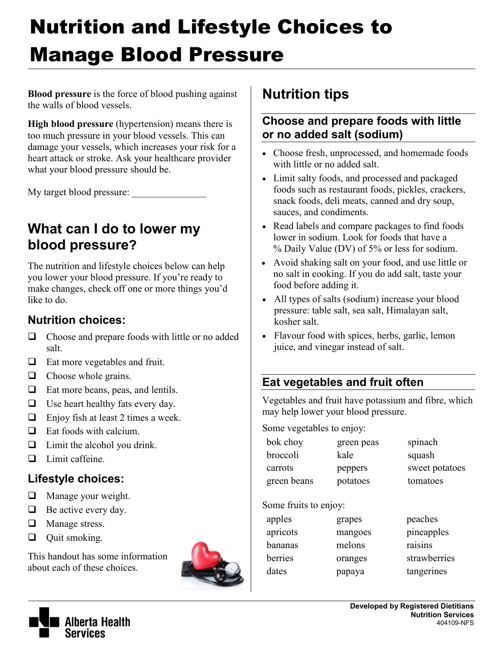# Nutrition and Lifestyle Choices to Manage Blood Pressure

**Blood pressure** is the force of blood pushing against the walls of blood vessels.

**High blood pressure** (hypertension) means there is too much pressure in your blood vessels. This can damage your vessels, which increases your risk for a heart attack or stroke. Ask your healthcare provider what your blood pressure should be.

My target blood pressure:

## **What can I do to lower my blood pressure?**

The nutrition and lifestyle choices below can help you lower your blood pressure. If you're ready to make changes, check off one or more things you'd like to do.

### **Nutrition choices:**

- $\Box$  Choose and prepare foods with little or no added salt.
- □ Eat more vegetables and fruit.
- $\Box$  Choose whole grains.
- $\Box$  Eat more beans, peas, and lentils.
- $\Box$  Use heart healthy fats every day.
- $\Box$  Enjoy fish at least 2 times a week.
- $\Box$  Eat foods with calcium.
- $\Box$  Limit the alcohol you drink.
- $\Box$  Limit caffeine.

#### **Lifestyle choices:**

- $\Box$  Manage your weight.
- $\Box$  Be active every day.
- $\Box$  Manage stress.
- $\Box$  Quit smoking.

This handout has some information about each of these choices.



## **Nutrition tips**

#### **Choose and prepare foods with little or no added salt (sodium)**

- Choose fresh, unprocessed, and homemade foods with little or no added salt.
- Limit salty foods, and processed and packaged foods such as restaurant foods, pickles, crackers, snack foods, deli meats, canned and dry soup, sauces, and condiments.
- Read labels and compare packages to find foods lower in sodium. Look for foods that have a % Daily Value (DV) of 5% or less for sodium.
- Avoid shaking salt on your food, and use little or no salt in cooking. If you do add salt, taste your food before adding it.
- All types of salts (sodium) increase your blood pressure: table salt, sea salt, Himalayan salt, kosher salt.
- Flavour food with spices, herbs, garlic, lemon juice, and vinegar instead of salt.

## **Eat vegetables and fruit often**

Vegetables and fruit have potassium and fibre, which may help lower your blood pressure.

Some vegetables to enjoy:

| bok choy    | green peas | spinach        |
|-------------|------------|----------------|
| broccoli    | kale       | squash         |
| carrots     | peppers    | sweet potatoes |
| green beans | potatoes   | tomatoes       |
|             |            |                |

#### Some fruits to enjoy:

| apples   | grapes  |
|----------|---------|
| apricots | mangoes |
| bananas  | melons  |
| berries  | oranges |
| dates    | papaya  |



peaches pineapples raisins

strawberries tangerines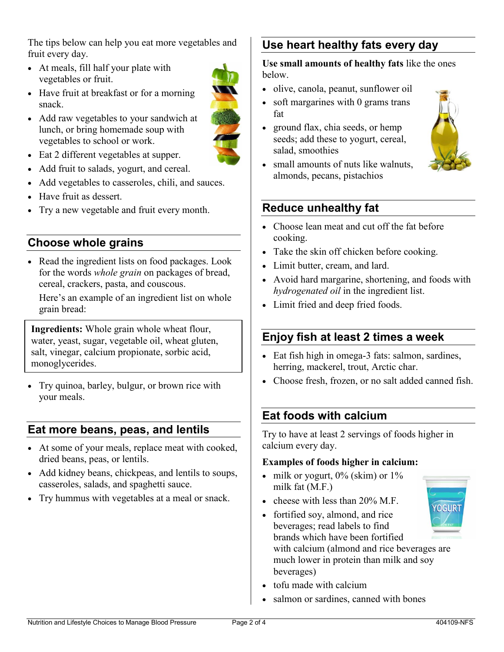The tips below can help you eat more vegetables and fruit every day.

- At meals, fill half your plate with vegetables or fruit.
- Have fruit at breakfast or for a morning snack.
- Add raw vegetables to your sandwich at lunch, or bring homemade soup with vegetables to school or work.



- Add fruit to salads, yogurt, and cereal.
- Add vegetables to casseroles, chili, and sauces.
- Have fruit as dessert.
- Try a new vegetable and fruit every month.

#### **Choose whole grains**

• Read the ingredient lists on food packages. Look for the words *whole grain* on packages of bread, cereal, crackers, pasta, and couscous.

Here's an example of an ingredient list on whole grain bread:

**Ingredients:** Whole grain whole wheat flour, water, yeast, sugar, vegetable oil, wheat gluten, salt, vinegar, calcium propionate, sorbic acid, monoglycerides.

 Try quinoa, barley, bulgur, or brown rice with your meals.

#### **Eat more beans, peas, and lentils**

- At some of your meals, replace meat with cooked, dried beans, peas, or lentils.
- Add kidney beans, chickpeas, and lentils to soups, casseroles, salads, and spaghetti sauce.
- Try hummus with vegetables at a meal or snack.

## **Use heart healthy fats every day**

**Use small amounts of healthy fats** like the ones below.

- olive, canola, peanut, sunflower oil
- soft margarines with 0 grams trans fat
- ground flax, chia seeds, or hemp seeds; add these to yogurt, cereal, salad, smoothies



• small amounts of nuts like walnuts, almonds, pecans, pistachios

#### **Reduce unhealthy fat**

- Choose lean meat and cut off the fat before cooking.
- Take the skin off chicken before cooking.
- Limit butter, cream, and lard.
- Avoid hard margarine, shortening, and foods with *hydrogenated oil* in the ingredient list.
- Limit fried and deep fried foods.

#### **Enjoy fish at least 2 times a week**

- Eat fish high in omega-3 fats: salmon, sardines, herring, mackerel, trout, Arctic char.
- Choose fresh, frozen, or no salt added canned fish.

#### **Eat foods with calcium**

Try to have at least 2 servings of foods higher in calcium every day.

#### **Examples of foods higher in calcium:**

- $\bullet$  milk or yogurt, 0% (skim) or 1% milk fat (M.F.)
- cheese with less than  $20\%$  M.F.
- **OGURT** • fortified soy, almond, and rice beverages; read labels to find brands which have been fortified with calcium (almond and rice beverages are much lower in protein than milk and soy beverages)
- tofu made with calcium
- salmon or sardines, canned with bones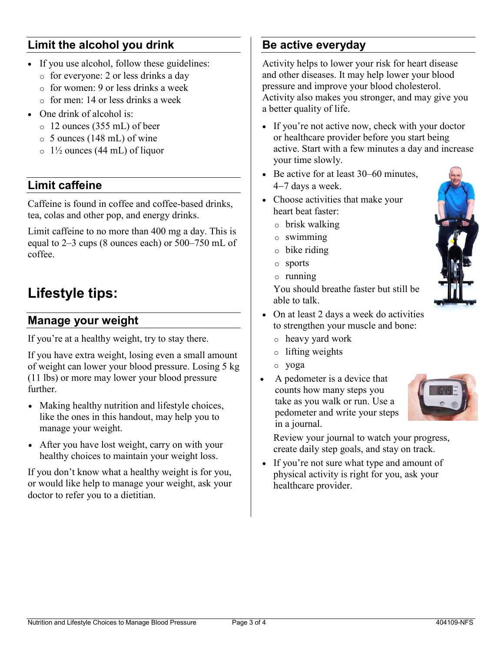### **Limit the alcohol you drink**

- If you use alcohol, follow these guidelines:
	- o for everyone: 2 or less drinks a day
	- o for women: 9 or less drinks a week
	- o for men: 14 or less drinks a week
- One drink of alcohol is:
	- o 12 ounces (355 mL) of beer
	- o 5 ounces (148 mL) of wine
	- $\circ$  1<sup>1</sup>/<sub>2</sub> ounces (44 mL) of liquor

#### **Limit caffeine**

Caffeine is found in coffee and coffee-based drinks, tea, colas and other pop, and energy drinks.

Limit caffeine to no more than 400 mg a day. This is equal to 2–3 cups (8 ounces each) or 500–750 mL of coffee.

## **Lifestyle tips:**

#### **Manage your weight**

If you're at a healthy weight, try to stay there.

If you have extra weight, losing even a small amount of weight can lower your blood pressure. Losing 5 kg (11 lbs) or more may lower your blood pressure further.

- Making healthy nutrition and lifestyle choices, like the ones in this handout, may help you to manage your weight.
- After you have lost weight, carry on with your healthy choices to maintain your weight loss.

If you don't know what a healthy weight is for you, or would like help to manage your weight, ask your doctor to refer you to a dietitian.

### **Be active everyday**

Activity helps to lower your risk for heart disease and other diseases. It may help lower your blood pressure and improve your blood cholesterol. Activity also makes you stronger, and may give you a better quality of life.

- If you're not active now, check with your doctor or healthcare provider before you start being active. Start with a few minutes a day and increase your time slowly.
- Be active for at least 30–60 minutes,  $4-7$  days a week.
- Choose activities that make your heart beat faster:
	- o brisk walking
	- o swimming
	- o bike riding
	- o sports
	- o running

You should breathe faster but still be able to talk.

- On at least 2 days a week do activities to strengthen your muscle and bone:
- o heavy yard work
- o lifting weights
- o yoga
- A pedometer is a device that counts how many steps you take as you walk or run. Use a pedometer and write your steps in a journal.



Review your journal to watch your progress, create daily step goals, and stay on track.

• If you're not sure what type and amount of physical activity is right for you, ask your healthcare provider.